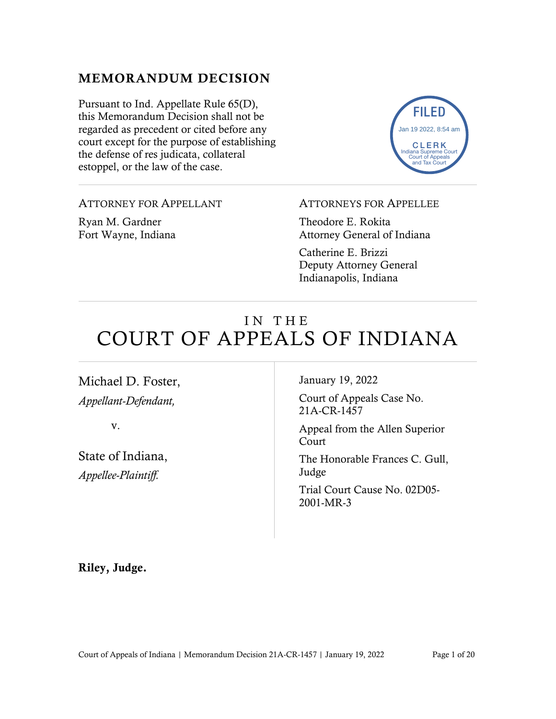# MEMORANDUM DECISION

Pursuant to Ind. Appellate Rule 65(D), this Memorandum Decision shall not be regarded as precedent or cited before any court except for the purpose of establishing the defense of res judicata, collateral estoppel, or the law of the case.



ATTORNEY FOR APPELLANT

Ryan M. Gardner Fort Wayne, Indiana

## ATTORNEYS FOR APPELLEE

Theodore E. Rokita Attorney General of Indiana

Catherine E. Brizzi Deputy Attorney General Indianapolis, Indiana

# IN THE COURT OF APPEALS OF INDIANA

Michael D. Foster, *Appellant-Defendant,*

v.

State of Indiana, *Appellee-Plaintiff.*

January 19, 2022

Court of Appeals Case No. 21A-CR-1457

Appeal from the Allen Superior Court

The Honorable Frances C. Gull, Judge

Trial Court Cause No. 02D05- 2001-MR-3

Riley, Judge.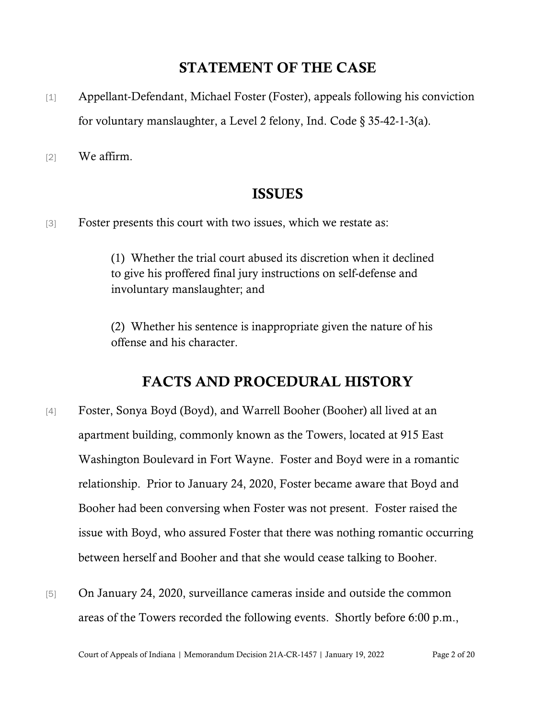# STATEMENT OF THE CASE

[1] Appellant-Defendant, Michael Foster (Foster), appeals following his conviction for voluntary manslaughter, a Level 2 felony, Ind. Code § 35-42-1-3(a).

[2] We affirm.

# ISSUES

[3] Foster presents this court with two issues, which we restate as:

(1) Whether the trial court abused its discretion when it declined to give his proffered final jury instructions on self-defense and involuntary manslaughter; and

(2) Whether his sentence is inappropriate given the nature of his offense and his character.

# FACTS AND PROCEDURAL HISTORY

- [4] Foster, Sonya Boyd (Boyd), and Warrell Booher (Booher) all lived at an apartment building, commonly known as the Towers, located at 915 East Washington Boulevard in Fort Wayne. Foster and Boyd were in a romantic relationship. Prior to January 24, 2020, Foster became aware that Boyd and Booher had been conversing when Foster was not present. Foster raised the issue with Boyd, who assured Foster that there was nothing romantic occurring between herself and Booher and that she would cease talking to Booher.
- [5] On January 24, 2020, surveillance cameras inside and outside the common areas of the Towers recorded the following events. Shortly before 6:00 p.m.,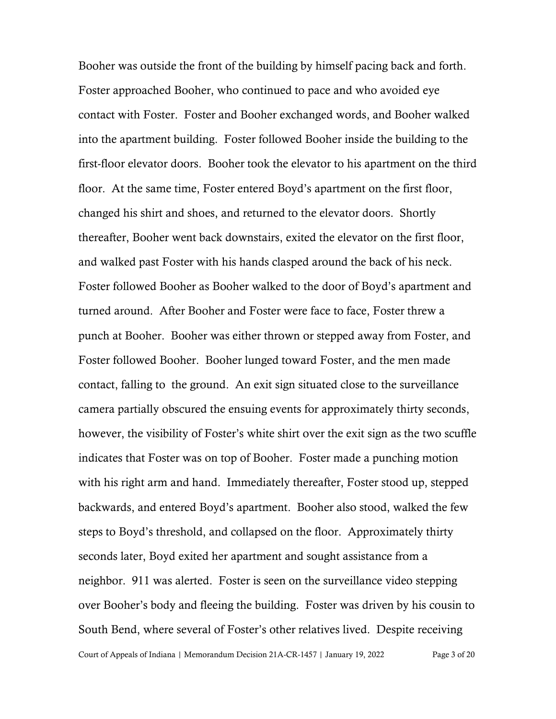Court of Appeals of Indiana | Memorandum Decision 21A-CR-1457 | January 19, 2022 Page 3 of 20 Booher was outside the front of the building by himself pacing back and forth. Foster approached Booher, who continued to pace and who avoided eye contact with Foster. Foster and Booher exchanged words, and Booher walked into the apartment building. Foster followed Booher inside the building to the first-floor elevator doors. Booher took the elevator to his apartment on the third floor. At the same time, Foster entered Boyd's apartment on the first floor, changed his shirt and shoes, and returned to the elevator doors. Shortly thereafter, Booher went back downstairs, exited the elevator on the first floor, and walked past Foster with his hands clasped around the back of his neck. Foster followed Booher as Booher walked to the door of Boyd's apartment and turned around. After Booher and Foster were face to face, Foster threw a punch at Booher. Booher was either thrown or stepped away from Foster, and Foster followed Booher. Booher lunged toward Foster, and the men made contact, falling to the ground. An exit sign situated close to the surveillance camera partially obscured the ensuing events for approximately thirty seconds, however, the visibility of Foster's white shirt over the exit sign as the two scuffle indicates that Foster was on top of Booher. Foster made a punching motion with his right arm and hand. Immediately thereafter, Foster stood up, stepped backwards, and entered Boyd's apartment. Booher also stood, walked the few steps to Boyd's threshold, and collapsed on the floor. Approximately thirty seconds later, Boyd exited her apartment and sought assistance from a neighbor. 911 was alerted. Foster is seen on the surveillance video stepping over Booher's body and fleeing the building. Foster was driven by his cousin to South Bend, where several of Foster's other relatives lived. Despite receiving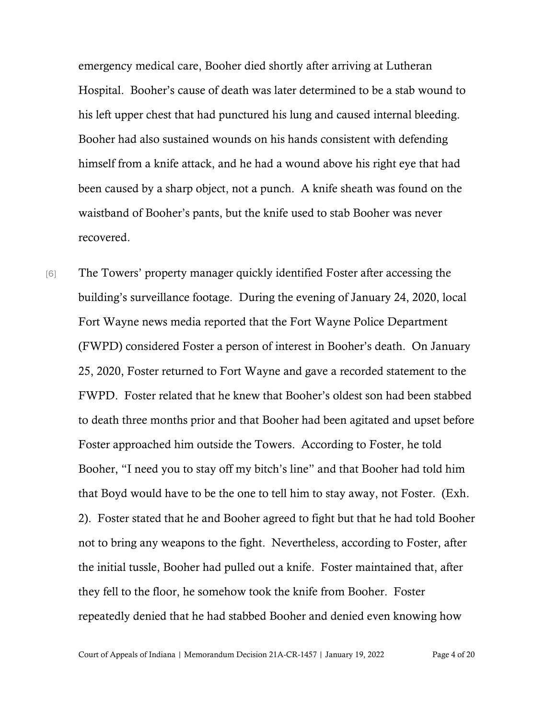emergency medical care, Booher died shortly after arriving at Lutheran Hospital. Booher's cause of death was later determined to be a stab wound to his left upper chest that had punctured his lung and caused internal bleeding. Booher had also sustained wounds on his hands consistent with defending himself from a knife attack, and he had a wound above his right eye that had been caused by a sharp object, not a punch. A knife sheath was found on the waistband of Booher's pants, but the knife used to stab Booher was never recovered.

[6] The Towers' property manager quickly identified Foster after accessing the building's surveillance footage. During the evening of January 24, 2020, local Fort Wayne news media reported that the Fort Wayne Police Department (FWPD) considered Foster a person of interest in Booher's death. On January 25, 2020, Foster returned to Fort Wayne and gave a recorded statement to the FWPD. Foster related that he knew that Booher's oldest son had been stabbed to death three months prior and that Booher had been agitated and upset before Foster approached him outside the Towers. According to Foster, he told Booher, "I need you to stay off my bitch's line" and that Booher had told him that Boyd would have to be the one to tell him to stay away, not Foster. (Exh. 2). Foster stated that he and Booher agreed to fight but that he had told Booher not to bring any weapons to the fight. Nevertheless, according to Foster, after the initial tussle, Booher had pulled out a knife. Foster maintained that, after they fell to the floor, he somehow took the knife from Booher. Foster repeatedly denied that he had stabbed Booher and denied even knowing how

Court of Appeals of Indiana | Memorandum Decision 21A-CR-1457 | January 19, 2022 Page 4 of 20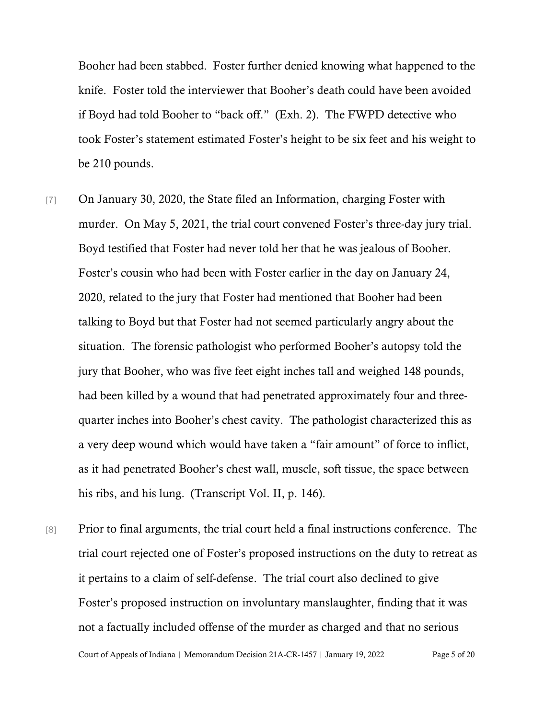Booher had been stabbed. Foster further denied knowing what happened to the knife. Foster told the interviewer that Booher's death could have been avoided if Boyd had told Booher to "back off." (Exh. 2). The FWPD detective who took Foster's statement estimated Foster's height to be six feet and his weight to be 210 pounds.

- [7] On January 30, 2020, the State filed an Information, charging Foster with murder. On May 5, 2021, the trial court convened Foster's three-day jury trial. Boyd testified that Foster had never told her that he was jealous of Booher. Foster's cousin who had been with Foster earlier in the day on January 24, 2020, related to the jury that Foster had mentioned that Booher had been talking to Boyd but that Foster had not seemed particularly angry about the situation. The forensic pathologist who performed Booher's autopsy told the jury that Booher, who was five feet eight inches tall and weighed 148 pounds, had been killed by a wound that had penetrated approximately four and threequarter inches into Booher's chest cavity. The pathologist characterized this as a very deep wound which would have taken a "fair amount" of force to inflict, as it had penetrated Booher's chest wall, muscle, soft tissue, the space between his ribs, and his lung. (Transcript Vol. II, p. 146).
- Court of Appeals of Indiana | Memorandum Decision 21A-CR-1457 | January 19, 2022 Page 5 of 20 [8] Prior to final arguments, the trial court held a final instructions conference. The trial court rejected one of Foster's proposed instructions on the duty to retreat as it pertains to a claim of self-defense. The trial court also declined to give Foster's proposed instruction on involuntary manslaughter, finding that it was not a factually included offense of the murder as charged and that no serious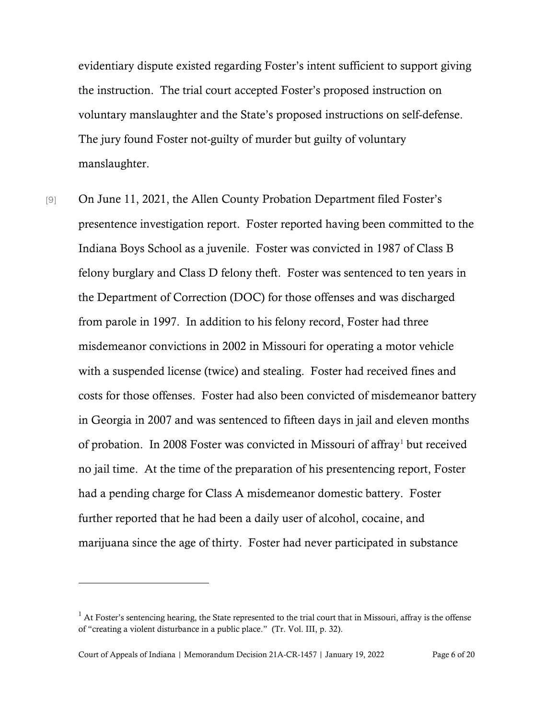evidentiary dispute existed regarding Foster's intent sufficient to support giving the instruction. The trial court accepted Foster's proposed instruction on voluntary manslaughter and the State's proposed instructions on self-defense. The jury found Foster not-guilty of murder but guilty of voluntary manslaughter.

[9] On June 11, 2021, the Allen County Probation Department filed Foster's presentence investigation report. Foster reported having been committed to the Indiana Boys School as a juvenile. Foster was convicted in 1987 of Class B felony burglary and Class D felony theft. Foster was sentenced to ten years in the Department of Correction (DOC) for those offenses and was discharged from parole in 1997. In addition to his felony record, Foster had three misdemeanor convictions in 2002 in Missouri for operating a motor vehicle with a suspended license (twice) and stealing. Foster had received fines and costs for those offenses. Foster had also been convicted of misdemeanor battery in Georgia in 2007 and was sentenced to fifteen days in jail and eleven months of probation. In 2008 Foster was convicted in Missouri of affray<sup>[1](#page-5-0)</sup> but received no jail time. At the time of the preparation of his presentencing report, Foster had a pending charge for Class A misdemeanor domestic battery. Foster further reported that he had been a daily user of alcohol, cocaine, and marijuana since the age of thirty. Foster had never participated in substance

<span id="page-5-0"></span> $1$  At Foster's sentencing hearing, the State represented to the trial court that in Missouri, affray is the offense of "creating a violent disturbance in a public place." (Tr. Vol. III, p. 32).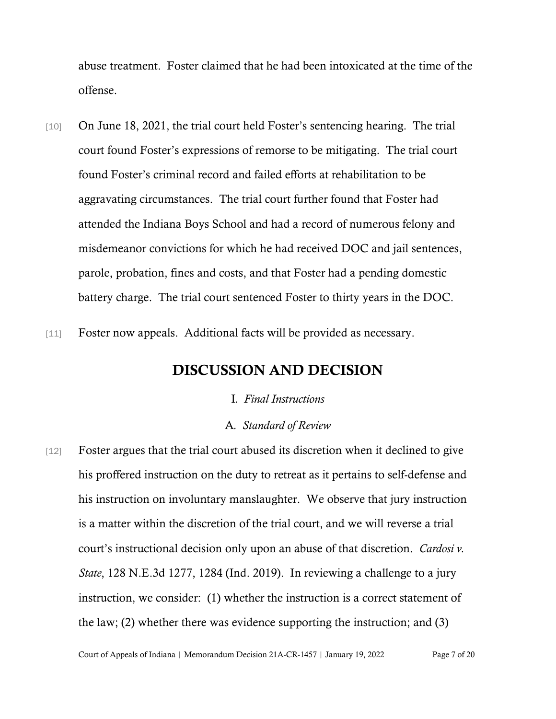abuse treatment. Foster claimed that he had been intoxicated at the time of the offense.

- [10] On June 18, 2021, the trial court held Foster's sentencing hearing. The trial court found Foster's expressions of remorse to be mitigating. The trial court found Foster's criminal record and failed efforts at rehabilitation to be aggravating circumstances. The trial court further found that Foster had attended the Indiana Boys School and had a record of numerous felony and misdemeanor convictions for which he had received DOC and jail sentences, parole, probation, fines and costs, and that Foster had a pending domestic battery charge. The trial court sentenced Foster to thirty years in the DOC.
- [11] Foster now appeals. Additional facts will be provided as necessary.

## DISCUSSION AND DECISION

## I*. Final Instructions*

## A*. Standard of Review*

[12] Foster argues that the trial court abused its discretion when it declined to give his proffered instruction on the duty to retreat as it pertains to self-defense and his instruction on involuntary manslaughter. We observe that jury instruction is a matter within the discretion of the trial court, and we will reverse a trial court's instructional decision only upon an abuse of that discretion. *Cardosi v. State*, 128 N.E.3d 1277, 1284 (Ind. 2019). In reviewing a challenge to a jury instruction, we consider: (1) whether the instruction is a correct statement of the law; (2) whether there was evidence supporting the instruction; and (3)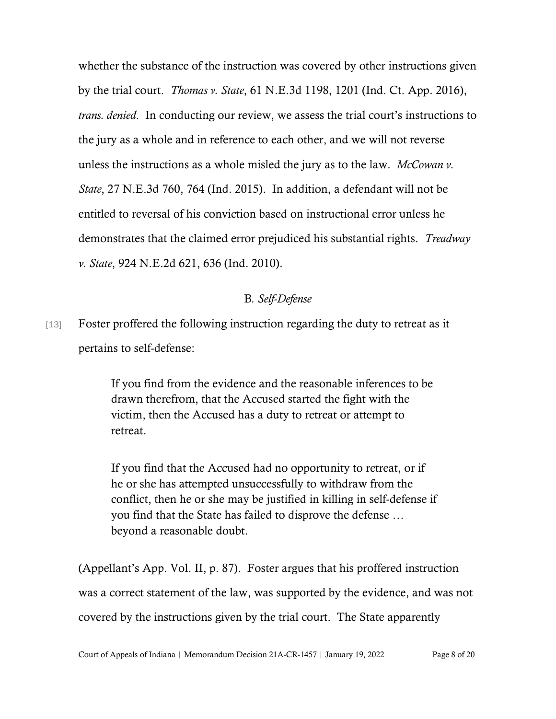whether the substance of the instruction was covered by other instructions given by the trial court. *Thomas v. State*, 61 N.E.3d 1198, 1201 (Ind. Ct. App. 2016), *trans. denied*. In conducting our review, we assess the trial court's instructions to the jury as a whole and in reference to each other, and we will not reverse unless the instructions as a whole misled the jury as to the law. *McCowan v. State*, 27 N.E.3d 760, 764 (Ind. 2015). In addition, a defendant will not be entitled to reversal of his conviction based on instructional error unless he demonstrates that the claimed error prejudiced his substantial rights. *Treadway v. State*, 924 N.E.2d 621, 636 (Ind. 2010).

## B*. Self-Defense*

[13] Foster proffered the following instruction regarding the duty to retreat as it pertains to self-defense:

> If you find from the evidence and the reasonable inferences to be drawn therefrom, that the Accused started the fight with the victim, then the Accused has a duty to retreat or attempt to retreat.

If you find that the Accused had no opportunity to retreat, or if he or she has attempted unsuccessfully to withdraw from the conflict, then he or she may be justified in killing in self-defense if you find that the State has failed to disprove the defense … beyond a reasonable doubt.

(Appellant's App. Vol. II, p. 87). Foster argues that his proffered instruction was a correct statement of the law, was supported by the evidence, and was not covered by the instructions given by the trial court. The State apparently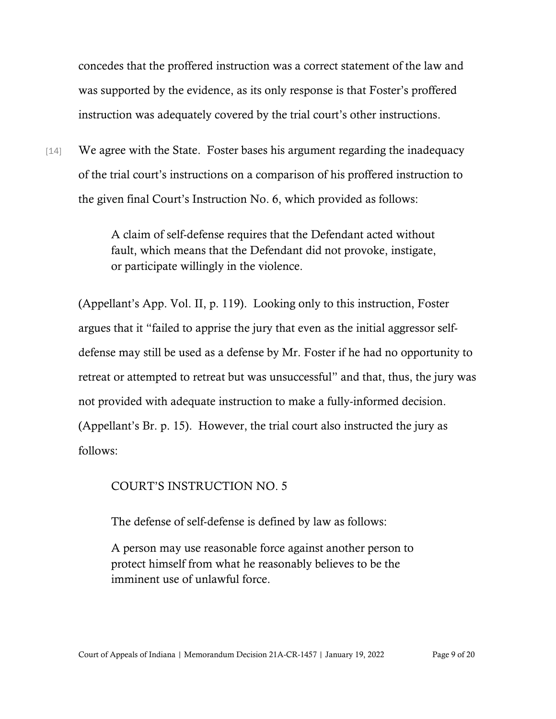concedes that the proffered instruction was a correct statement of the law and was supported by the evidence, as its only response is that Foster's proffered instruction was adequately covered by the trial court's other instructions.

[14] We agree with the State. Foster bases his argument regarding the inadequacy of the trial court's instructions on a comparison of his proffered instruction to the given final Court's Instruction No. 6, which provided as follows:

> A claim of self-defense requires that the Defendant acted without fault, which means that the Defendant did not provoke, instigate, or participate willingly in the violence.

(Appellant's App. Vol. II, p. 119). Looking only to this instruction, Foster argues that it "failed to apprise the jury that even as the initial aggressor selfdefense may still be used as a defense by Mr. Foster if he had no opportunity to retreat or attempted to retreat but was unsuccessful" and that, thus, the jury was not provided with adequate instruction to make a fully-informed decision. (Appellant's Br. p. 15). However, the trial court also instructed the jury as follows:

## COURT'S INSTRUCTION NO. 5

The defense of self-defense is defined by law as follows:

A person may use reasonable force against another person to protect himself from what he reasonably believes to be the imminent use of unlawful force.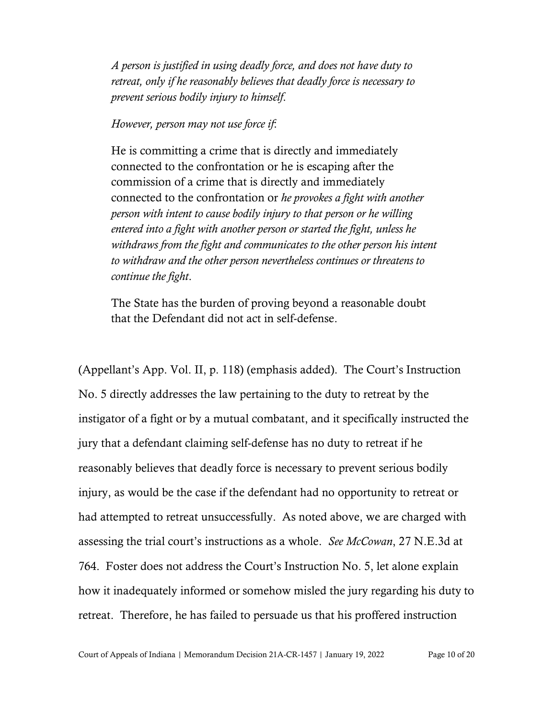*A person is justified in using deadly force, and does not have duty to retreat, only if he reasonably believes that deadly force is necessary to prevent serious bodily injury to himself*.

## *However, person may not use force if*:

He is committing a crime that is directly and immediately connected to the confrontation or he is escaping after the commission of a crime that is directly and immediately connected to the confrontation or *he provokes a fight with another person with intent to cause bodily injury to that person or he willing entered into a fight with another person or started the fight, unless he withdraws from the fight and communicates to the other person his intent to withdraw and the other person nevertheless continues or threatens to continue the fight*.

The State has the burden of proving beyond a reasonable doubt that the Defendant did not act in self-defense.

(Appellant's App. Vol. II, p. 118) (emphasis added). The Court's Instruction No. 5 directly addresses the law pertaining to the duty to retreat by the instigator of a fight or by a mutual combatant, and it specifically instructed the jury that a defendant claiming self-defense has no duty to retreat if he reasonably believes that deadly force is necessary to prevent serious bodily injury, as would be the case if the defendant had no opportunity to retreat or had attempted to retreat unsuccessfully. As noted above, we are charged with assessing the trial court's instructions as a whole. *See McCowan*, 27 N.E.3d at 764. Foster does not address the Court's Instruction No. 5, let alone explain how it inadequately informed or somehow misled the jury regarding his duty to retreat. Therefore, he has failed to persuade us that his proffered instruction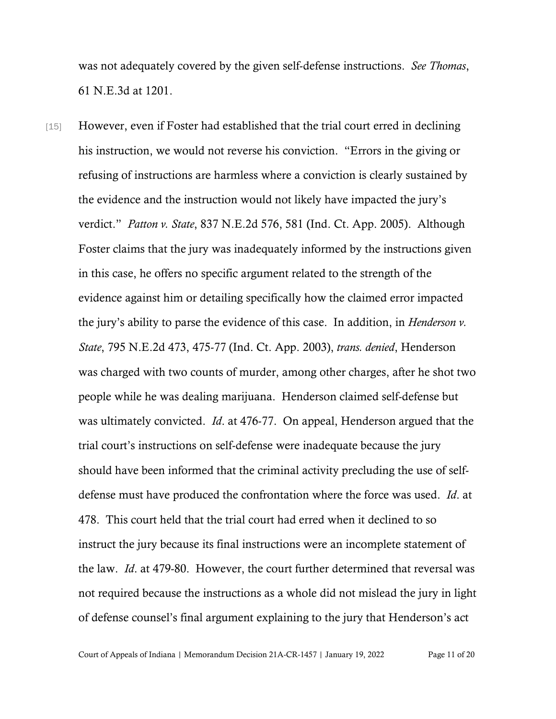was not adequately covered by the given self-defense instructions. *See Thomas*, 61 N.E.3d at 1201.

[15] However, even if Foster had established that the trial court erred in declining his instruction, we would not reverse his conviction. "Errors in the giving or refusing of instructions are harmless where a conviction is clearly sustained by the evidence and the instruction would not likely have impacted the jury's verdict." *Patton v. State*, 837 N.E.2d 576, 581 (Ind. Ct. App. 2005). Although Foster claims that the jury was inadequately informed by the instructions given in this case, he offers no specific argument related to the strength of the evidence against him or detailing specifically how the claimed error impacted the jury's ability to parse the evidence of this case. In addition, in *Henderson v. State*, 795 N.E.2d 473, 475-77 (Ind. Ct. App. 2003), *trans. denied*, Henderson was charged with two counts of murder, among other charges, after he shot two people while he was dealing marijuana. Henderson claimed self-defense but was ultimately convicted. *Id*. at 476-77. On appeal, Henderson argued that the trial court's instructions on self-defense were inadequate because the jury should have been informed that the criminal activity precluding the use of selfdefense must have produced the confrontation where the force was used. *Id*. at 478. This court held that the trial court had erred when it declined to so instruct the jury because its final instructions were an incomplete statement of the law. *Id*. at 479-80. However, the court further determined that reversal was not required because the instructions as a whole did not mislead the jury in light of defense counsel's final argument explaining to the jury that Henderson's act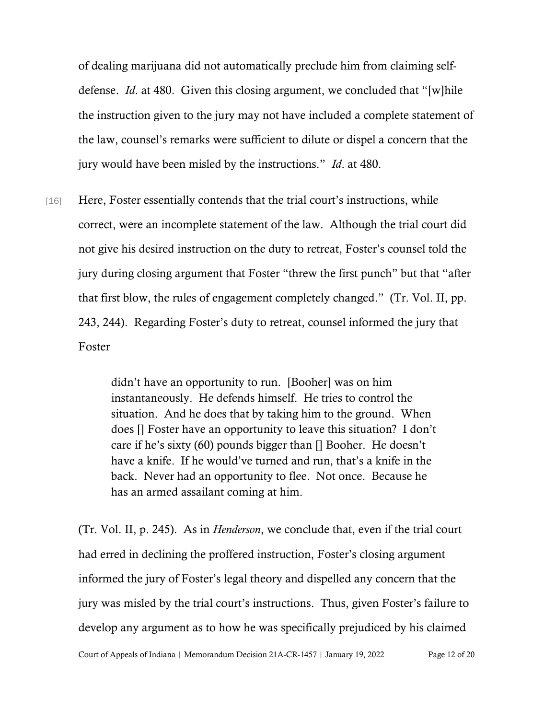of dealing marijuana did not automatically preclude him from claiming selfdefense. *Id*. at 480. Given this closing argument, we concluded that "[w]hile the instruction given to the jury may not have included a complete statement of the law, counsel's remarks were sufficient to dilute or dispel a concern that the jury would have been misled by the instructions." *Id*. at 480.

[16] Here, Foster essentially contends that the trial court's instructions, while correct, were an incomplete statement of the law. Although the trial court did not give his desired instruction on the duty to retreat, Foster's counsel told the jury during closing argument that Foster "threw the first punch" but that "after that first blow, the rules of engagement completely changed." (Tr. Vol. II, pp. 243, 244). Regarding Foster's duty to retreat, counsel informed the jury that Foster

> didn't have an opportunity to run. [Booher] was on him instantaneously. He defends himself. He tries to control the situation. And he does that by taking him to the ground. When does [] Foster have an opportunity to leave this situation? I don't care if he's sixty (60) pounds bigger than [] Booher. He doesn't have a knife. If he would've turned and run, that's a knife in the back. Never had an opportunity to flee. Not once. Because he has an armed assailant coming at him.

(Tr. Vol. II, p. 245). As in *Henderson*, we conclude that, even if the trial court had erred in declining the proffered instruction, Foster's closing argument informed the jury of Foster's legal theory and dispelled any concern that the jury was misled by the trial court's instructions. Thus, given Foster's failure to develop any argument as to how he was specifically prejudiced by his claimed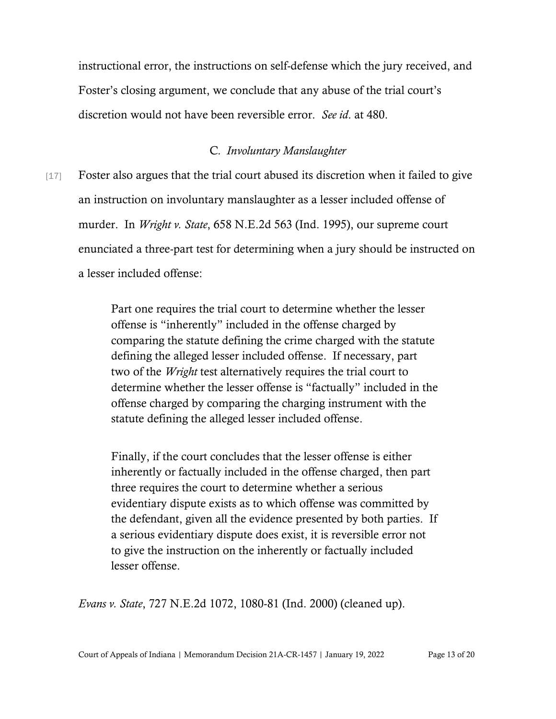instructional error, the instructions on self-defense which the jury received, and Foster's closing argument, we conclude that any abuse of the trial court's discretion would not have been reversible error. *See id*. at 480.

## C*. Involuntary Manslaughter*

[17] Foster also argues that the trial court abused its discretion when it failed to give an instruction on involuntary manslaughter as a lesser included offense of murder. In *Wright v. State*, 658 N.E.2d 563 (Ind. 1995), our supreme court enunciated a three-part test for determining when a jury should be instructed on a lesser included offense:

> Part one requires the trial court to determine whether the lesser offense is "inherently" included in the offense charged by comparing the statute defining the crime charged with the statute defining the alleged lesser included offense. If necessary, part two of the *Wright* test alternatively requires the trial court to determine whether the lesser offense is "factually" included in the offense charged by comparing the charging instrument with the statute defining the alleged lesser included offense.

> Finally, if the court concludes that the lesser offense is either inherently or factually included in the offense charged, then part three requires the court to determine whether a serious evidentiary dispute exists as to which offense was committed by the defendant, given all the evidence presented by both parties. If a serious evidentiary dispute does exist, it is reversible error not to give the instruction on the inherently or factually included lesser offense.

*Evans v. State*, 727 N.E.2d 1072, 1080-81 (Ind. 2000) (cleaned up).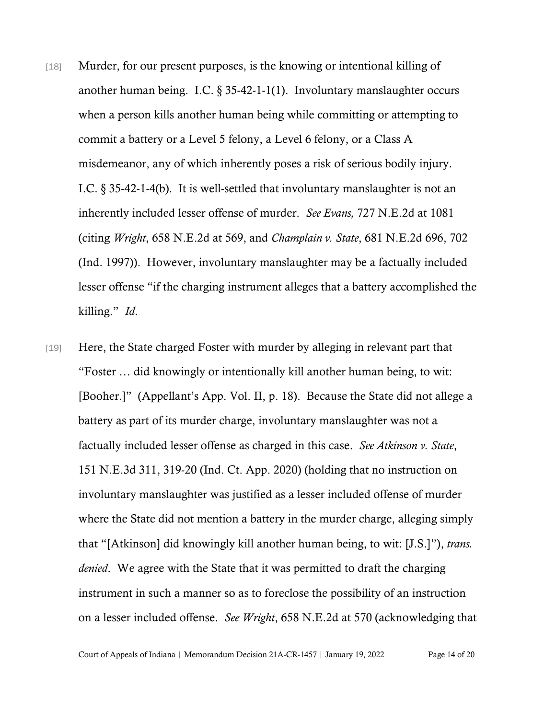- [18] Murder, for our present purposes, is the knowing or intentional killing of another human being. I.C. § 35-42-1-1(1). Involuntary manslaughter occurs when a person kills another human being while committing or attempting to commit a battery or a Level 5 felony, a Level 6 felony, or a Class A misdemeanor, any of which inherently poses a risk of serious bodily injury. I.C. § 35-42-1-4(b). It is well-settled that involuntary manslaughter is not an inherently included lesser offense of murder. *See Evans,* 727 N.E.2d at 1081 (citing *Wright*, 658 N.E.2d at 569, and *Champlain v. State*, 681 N.E.2d 696, 702 (Ind. 1997)). However, involuntary manslaughter may be a factually included lesser offense "if the charging instrument alleges that a battery accomplished the killing." *Id*.
- [19] Here, the State charged Foster with murder by alleging in relevant part that "Foster … did knowingly or intentionally kill another human being, to wit: [Booher.]" (Appellant's App. Vol. II, p. 18). Because the State did not allege a battery as part of its murder charge, involuntary manslaughter was not a factually included lesser offense as charged in this case. *See Atkinson v. State*, 151 N.E.3d 311, 319-20 (Ind. Ct. App. 2020) (holding that no instruction on involuntary manslaughter was justified as a lesser included offense of murder where the State did not mention a battery in the murder charge, alleging simply that "[Atkinson] did knowingly kill another human being, to wit: [J.S.]"), *trans. denied*. We agree with the State that it was permitted to draft the charging instrument in such a manner so as to foreclose the possibility of an instruction on a lesser included offense. *See Wright*, 658 N.E.2d at 570 (acknowledging that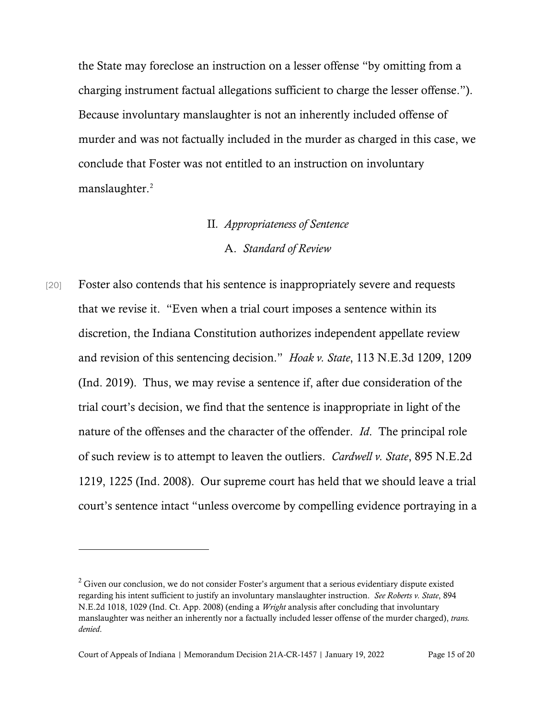the State may foreclose an instruction on a lesser offense "by omitting from a charging instrument factual allegations sufficient to charge the lesser offense."). Because involuntary manslaughter is not an inherently included offense of murder and was not factually included in the murder as charged in this case, we conclude that Foster was not entitled to an instruction on involuntary manslaughter.<sup>[2](#page-14-0)</sup>

## II*. Appropriateness of Sentence*

#### A. *Standard of Review*

[20] Foster also contends that his sentence is inappropriately severe and requests that we revise it. "Even when a trial court imposes a sentence within its discretion, the Indiana Constitution authorizes independent appellate review and revision of this sentencing decision." *Hoak v. State*, 113 N.E.3d 1209, 1209 (Ind. 2019). Thus, we may revise a sentence if, after due consideration of the trial court's decision, we find that the sentence is inappropriate in light of the nature of the offenses and the character of the offender. *Id*. The principal role of such review is to attempt to leaven the outliers. *Cardwell v. State*, 895 N.E.2d 1219, 1225 (Ind. 2008). Our supreme court has held that we should leave a trial court's sentence intact "unless overcome by compelling evidence portraying in a

<span id="page-14-0"></span> $2$  Given our conclusion, we do not consider Foster's argument that a serious evidentiary dispute existed regarding his intent sufficient to justify an involuntary manslaughter instruction. *See Roberts v. State*, 894 N.E.2d 1018, 1029 (Ind. Ct. App. 2008) (ending a *Wright* analysis after concluding that involuntary manslaughter was neither an inherently nor a factually included lesser offense of the murder charged), *trans. denied*.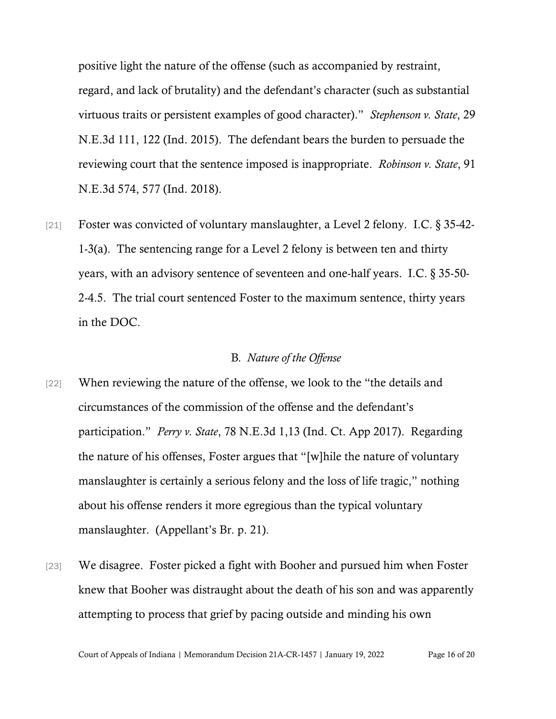positive light the nature of the offense (such as accompanied by restraint, regard, and lack of brutality) and the defendant's character (such as substantial virtuous traits or persistent examples of good character)." *Stephenson v. State*, 29 N.E.3d 111, 122 (Ind. 2015). The defendant bears the burden to persuade the reviewing court that the sentence imposed is inappropriate. *Robinson v. State*, 91 N.E.3d 574, 577 (Ind. 2018).

[21] Foster was convicted of voluntary manslaughter, a Level 2 felony. I.C. § 35-42- 1-3(a). The sentencing range for a Level 2 felony is between ten and thirty years, with an advisory sentence of seventeen and one-half years. I.C. § 35-50- 2-4.5. The trial court sentenced Foster to the maximum sentence, thirty years in the DOC.

## B*. Nature of the Offense*

- [22] When reviewing the nature of the offense, we look to the "the details and circumstances of the commission of the offense and the defendant's participation." *Perry v. State*, 78 N.E.3d 1,13 (Ind. Ct. App 2017). Regarding the nature of his offenses, Foster argues that "[w]hile the nature of voluntary manslaughter is certainly a serious felony and the loss of life tragic," nothing about his offense renders it more egregious than the typical voluntary manslaughter. (Appellant's Br. p. 21).
- [23] We disagree. Foster picked a fight with Booher and pursued him when Foster knew that Booher was distraught about the death of his son and was apparently attempting to process that grief by pacing outside and minding his own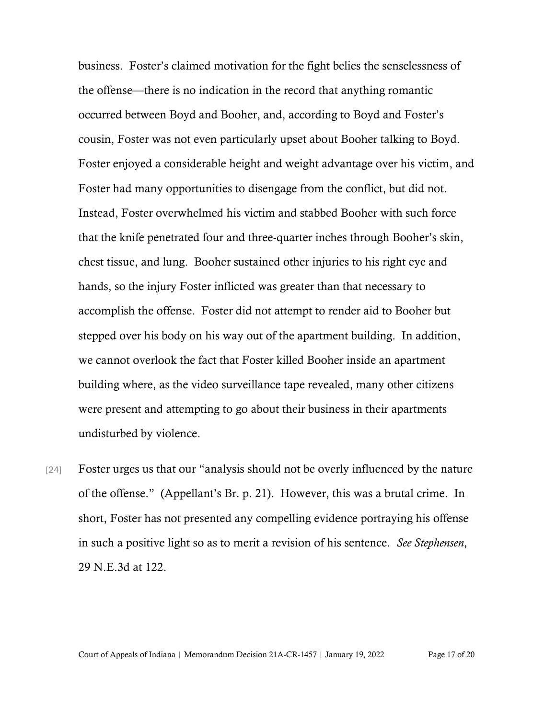business. Foster's claimed motivation for the fight belies the senselessness of the offense—there is no indication in the record that anything romantic occurred between Boyd and Booher, and, according to Boyd and Foster's cousin, Foster was not even particularly upset about Booher talking to Boyd. Foster enjoyed a considerable height and weight advantage over his victim, and Foster had many opportunities to disengage from the conflict, but did not. Instead, Foster overwhelmed his victim and stabbed Booher with such force that the knife penetrated four and three-quarter inches through Booher's skin, chest tissue, and lung. Booher sustained other injuries to his right eye and hands, so the injury Foster inflicted was greater than that necessary to accomplish the offense. Foster did not attempt to render aid to Booher but stepped over his body on his way out of the apartment building. In addition, we cannot overlook the fact that Foster killed Booher inside an apartment building where, as the video surveillance tape revealed, many other citizens were present and attempting to go about their business in their apartments undisturbed by violence.

[24] Foster urges us that our "analysis should not be overly influenced by the nature of the offense." (Appellant's Br. p. 21). However, this was a brutal crime. In short, Foster has not presented any compelling evidence portraying his offense in such a positive light so as to merit a revision of his sentence. *See Stephensen*, 29 N.E.3d at 122.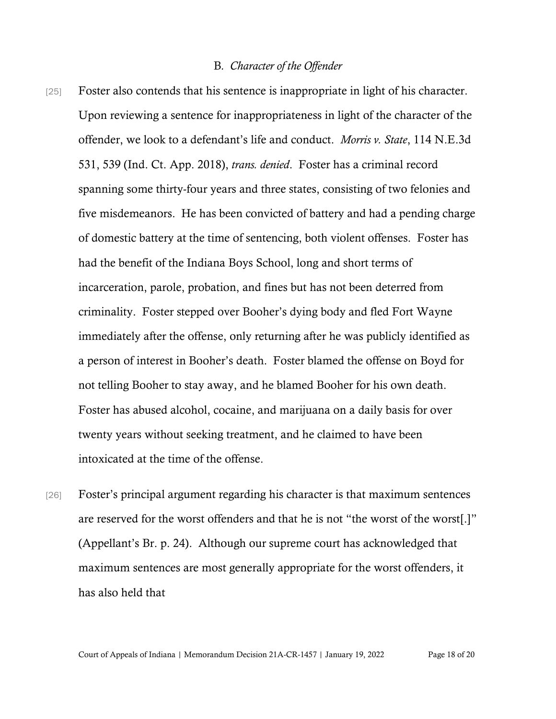## B*. Character of the Offender*

- [25] Foster also contends that his sentence is inappropriate in light of his character. Upon reviewing a sentence for inappropriateness in light of the character of the offender, we look to a defendant's life and conduct. *Morris v. State*, 114 N.E.3d 531, 539 (Ind. Ct. App. 2018), *trans. denied*. Foster has a criminal record spanning some thirty-four years and three states, consisting of two felonies and five misdemeanors. He has been convicted of battery and had a pending charge of domestic battery at the time of sentencing, both violent offenses. Foster has had the benefit of the Indiana Boys School, long and short terms of incarceration, parole, probation, and fines but has not been deterred from criminality. Foster stepped over Booher's dying body and fled Fort Wayne immediately after the offense, only returning after he was publicly identified as a person of interest in Booher's death. Foster blamed the offense on Boyd for not telling Booher to stay away, and he blamed Booher for his own death. Foster has abused alcohol, cocaine, and marijuana on a daily basis for over twenty years without seeking treatment, and he claimed to have been intoxicated at the time of the offense.
- [26] Foster's principal argument regarding his character is that maximum sentences are reserved for the worst offenders and that he is not "the worst of the worst[.]" (Appellant's Br. p. 24). Although our supreme court has acknowledged that maximum sentences are most generally appropriate for the worst offenders, it has also held that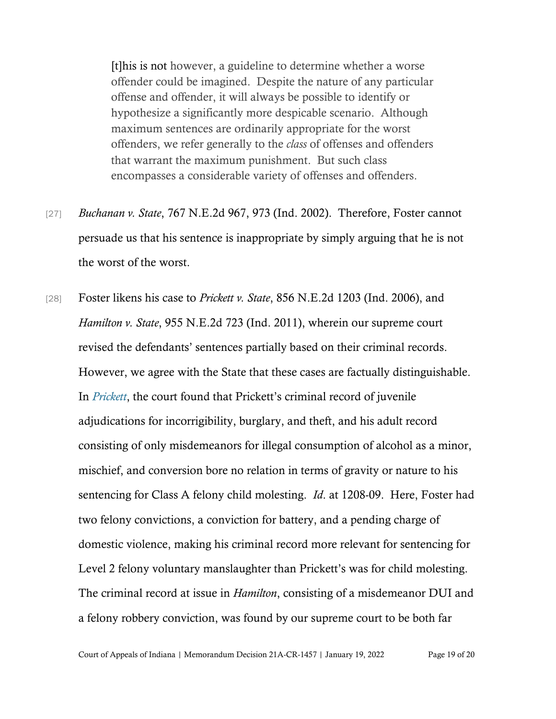[t]his is not however, a guideline to determine whether a worse offender could be imagined. Despite the nature of any particular offense and offender, it will always be possible to identify or hypothesize a significantly more despicable scenario. Although maximum sentences are ordinarily appropriate for the worst offenders, we refer generally to the *class* of offenses and offenders that warrant the maximum punishment. But such class encompasses a considerable variety of offenses and offenders.

- [27] *Buchanan v. State*, 767 N.E.2d 967, 973 (Ind. 2002). Therefore, Foster cannot persuade us that his sentence is inappropriate by simply arguing that he is not the worst of the worst.
- [28] Foster likens his case to *Prickett v. State*, 856 N.E.2d 1203 (Ind. 2006), and *Hamilton v. State*, 955 N.E.2d 723 (Ind. 2011), wherein our supreme court revised the defendants' sentences partially based on their criminal records. However, we agree with the State that these cases are factually distinguishable. In *[Prickett](https://www.westlaw.com/Document/Iaeba78a97a7511dbab489133ffb377e0/View/FullText.html?transitionType=Default&contextData=(sc.Default)&VR=3.0&RS=da3.0)*, the court found that Prickett's criminal record of juvenile adjudications for incorrigibility, burglary, and theft, and his adult record consisting of only misdemeanors for illegal consumption of alcohol as a minor, mischief, and conversion bore no relation in terms of gravity or nature to his sentencing for Class A felony child molesting. *Id*. at 1208-09. Here, Foster had two felony convictions, a conviction for battery, and a pending charge of domestic violence, making his criminal record more relevant for sentencing for Level 2 felony voluntary manslaughter than Prickett's was for child molesting. The criminal record at issue in *Hamilton*, consisting of a misdemeanor DUI and a felony robbery conviction, was found by our supreme court to be both far